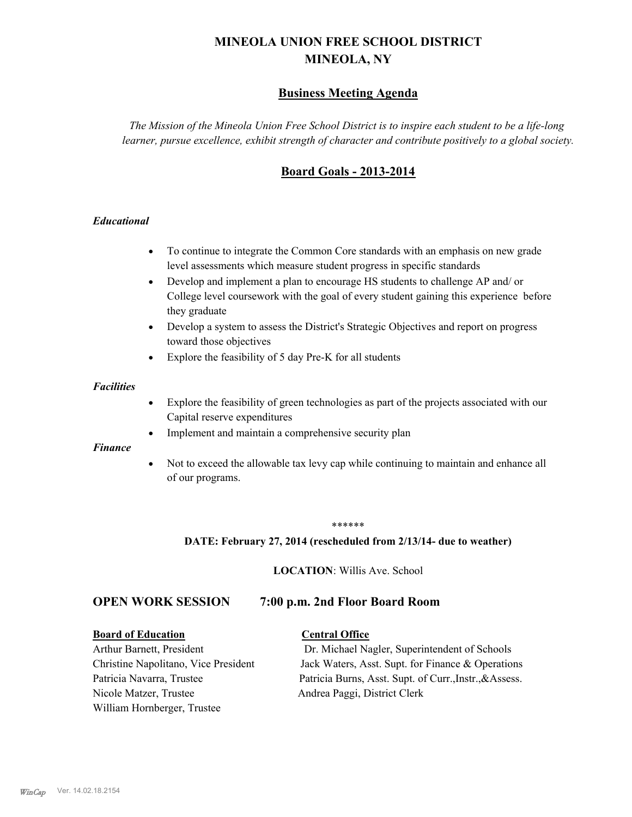# **MINEOLA UNION FREE SCHOOL DISTRICT MINEOLA, NY**

# **Business Meeting Agenda**

*The Mission of the Mineola Union Free School District is to inspire each student to be a life-long learner, pursue excellence, exhibit strength of character and contribute positively to a global society.*

# **Board Goals - 2013-2014**

#### *Educational*

- · To continue to integrate the Common Core standards with an emphasis on new grade level assessments which measure student progress in specific standards
- · Develop and implement a plan to encourage HS students to challenge AP and/ or College level coursework with the goal of every student gaining this experience before they graduate
- Develop a system to assess the District's Strategic Objectives and report on progress toward those objectives
- · Explore the feasibility of 5 day Pre-K for all students

#### *Facilities*

- · Explore the feasibility of green technologies as part of the projects associated with our Capital reserve expenditures
- Implement and maintain a comprehensive security plan

#### *Finance*

• Not to exceed the allowable tax levy cap while continuing to maintain and enhance all of our programs.

#### \*\*\*\*\*\*

#### **DATE: February 27, 2014 (rescheduled from 2/13/14- due to weather)**

**LOCATION**: Willis Ave. School

## **OPEN WORK SESSION 7:00 p.m. 2nd Floor Board Room**

#### **Board of Education Central Office**

Nicole Matzer, Trustee Andrea Paggi, District Clerk William Hornberger, Trustee

Arthur Barnett, President Dr. Michael Nagler, Superintendent of Schools Christine Napolitano, Vice President Jack Waters, Asst. Supt. for Finance & Operations Patricia Navarra, Trustee Patricia Burns, Asst. Supt. of Curr., Instr., &Assess.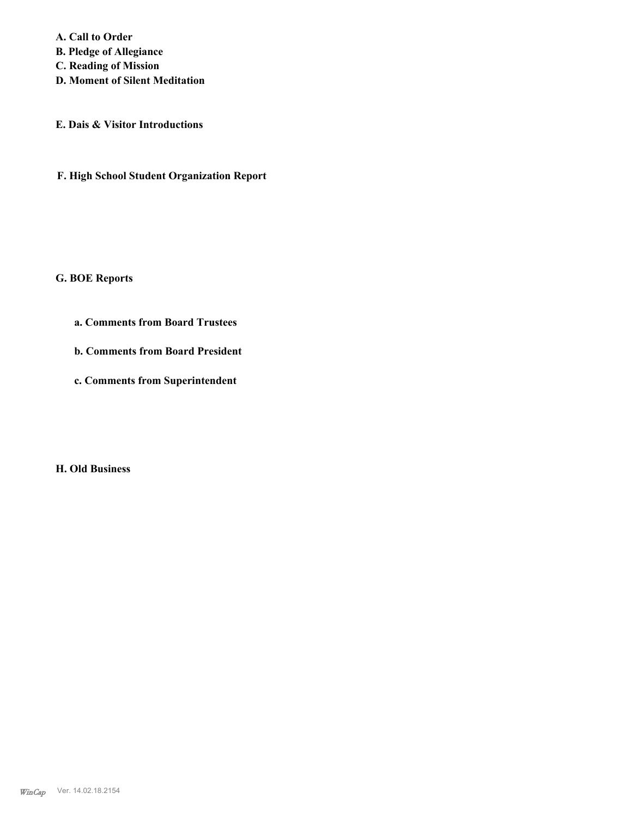**A. Call to Order B. Pledge of Allegiance C. Reading of Mission D. Moment of Silent Meditation**

**E. Dais & Visitor Introductions**

**F. High School Student Organization Report**

**G. BOE Reports**

**a. Comments from Board Trustees**

**b. Comments from Board President**

**c. Comments from Superintendent**

**H. Old Business**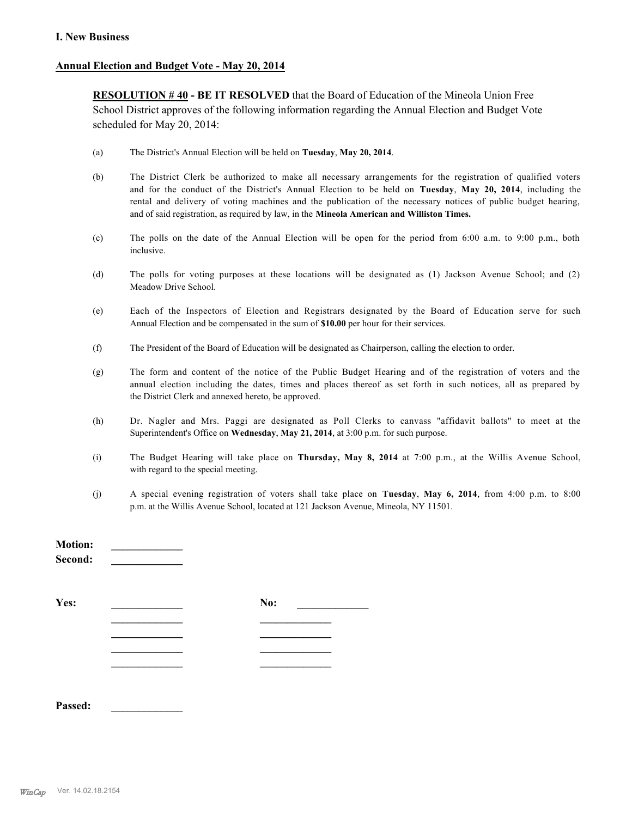#### **I. New Business**

#### **Annual Election and Budget Vote - May 20, 2014**

**RESOLUTION # 40 - BE IT RESOLVED** that the Board of Education of the Mineola Union Free School District approves of the following information regarding the Annual Election and Budget Vote scheduled for May 20, 2014:

- (a) The District's Annual Election will be held on **Tuesday**, **May 20, 2014**.
- (b) The District Clerk be authorized to make all necessary arrangements for the registration of qualified voters and for the conduct of the District's Annual Election to be held on **Tuesday**, **May 20, 2014**, including the rental and delivery of voting machines and the publication of the necessary notices of public budget hearing, and of said registration, as required by law, in the **Mineola American and Williston Times.**
- (c) The polls on the date of the Annual Election will be open for the period from 6:00 a.m. to 9:00 p.m., both inclusive.
- (d) The polls for voting purposes at these locations will be designated as (1) Jackson Avenue School; and (2) Meadow Drive School.
- (e) Each of the Inspectors of Election and Registrars designated by the Board of Education serve for such Annual Election and be compensated in the sum of **\$10.00** per hour for their services.
- (f) The President of the Board of Education will be designated as Chairperson, calling the election to order.
- (g) The form and content of the notice of the Public Budget Hearing and of the registration of voters and the annual election including the dates, times and places thereof as set forth in such notices, all as prepared by the District Clerk and annexed hereto, be approved.
- (h) Dr. Nagler and Mrs. Paggi are designated as Poll Clerks to canvass "affidavit ballots" to meet at the Superintendent's Office on **Wednesday**, **May 21, 2014**, at 3:00 p.m. for such purpose.
- (i) The Budget Hearing will take place on **Thursday, May 8, 2014** at 7:00 p.m., at the Willis Avenue School, with regard to the special meeting.
- (j) A special evening registration of voters shall take place on **Tuesday**, **May 6, 2014**, from 4:00 p.m. to 8:00 p.m. at the Willis Avenue School, located at 121 Jackson Avenue, Mineola, NY 11501.

| No: |  |
|-----|--|
|     |  |
|     |  |
|     |  |
|     |  |
|     |  |

**Passed: \_\_\_\_\_\_\_\_\_\_\_\_\_**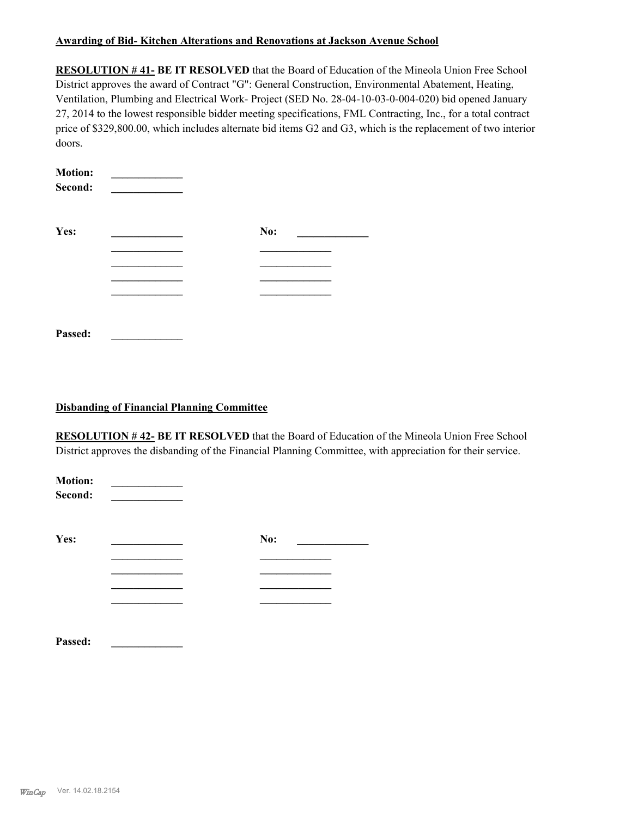#### **Awarding of Bid- Kitchen Alterations and Renovations at Jackson Avenue School**

**RESOLUTION # 41- BE IT RESOLVED** that the Board of Education of the Mineola Union Free School District approves the award of Contract "G": General Construction, Environmental Abatement, Heating, Ventilation, Plumbing and Electrical Work- Project (SED No. 28-04-10-03-0-004-020) bid opened January 27, 2014 to the lowest responsible bidder meeting specifications, FML Contracting, Inc., for a total contract price of \$329,800.00, which includes alternate bid items G2 and G3, which is the replacement of two interior doors.

| <b>Motion:</b><br>Second: |     |  |
|---------------------------|-----|--|
| Yes:                      | No: |  |
|                           |     |  |
|                           |     |  |
|                           |     |  |
|                           |     |  |
|                           |     |  |
| Passed:                   |     |  |

#### **Disbanding of Financial Planning Committee**

**RESOLUTION # 42- BE IT RESOLVED** that the Board of Education of the Mineola Union Free School District approves the disbanding of the Financial Planning Committee, with appreciation for their service.

| <b>Motion:</b><br>Second: |     |  |
|---------------------------|-----|--|
| Yes:                      | No: |  |
|                           |     |  |
|                           |     |  |
|                           |     |  |
| Passed:                   |     |  |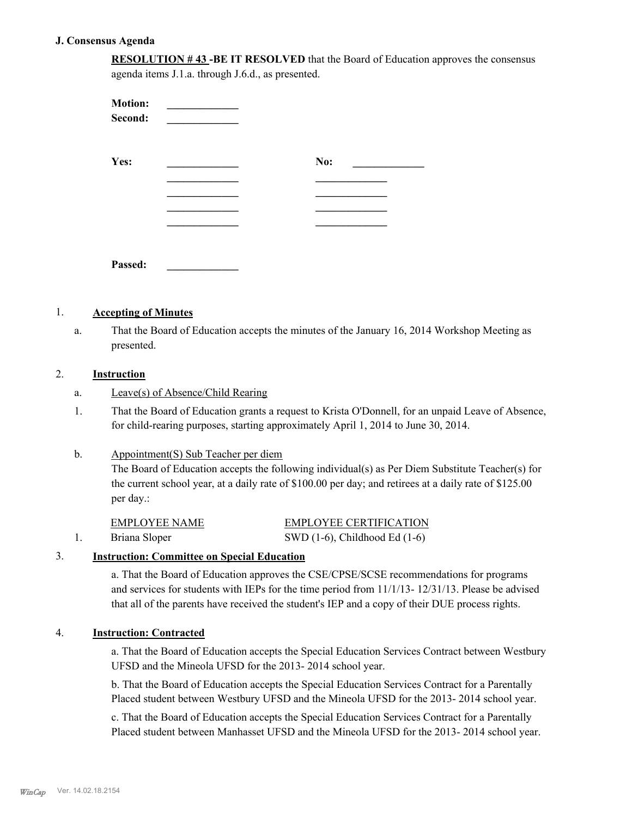#### **J. Consensus Agenda**

**RESOLUTION # 43 -BE IT RESOLVED** that the Board of Education approves the consensus agenda items J.1.a. through J.6.d., as presented.

| <b>Motion:</b><br>Second: |     |
|---------------------------|-----|
| Yes:                      | No: |
|                           |     |
|                           |     |
|                           |     |
| Passed:                   |     |

#### 1. **Accepting of Minutes**

That the Board of Education accepts the minutes of the January 16, 2014 Workshop Meeting as presented. a.

### 2. **Instruction**

- a. Leave(s) of Absence/Child Rearing
- That the Board of Education grants a request to Krista O'Donnell, for an unpaid Leave of Absence, for child-rearing purposes, starting approximately April 1, 2014 to June 30, 2014. 1.

#### Appointment(S) Sub Teacher per diem b.

The Board of Education accepts the following individual(s) as Per Diem Substitute Teacher(s) for the current school year, at a daily rate of \$100.00 per day; and retirees at a daily rate of \$125.00 per day.:

| EMPLOYEE NAME | <b>EMPLOYEE CERTIFICATION</b>      |
|---------------|------------------------------------|
| Briana Sloper | SWD $(1-6)$ , Childhood Ed $(1-6)$ |

#### 3. **Instruction: Committee on Special Education**

a. That the Board of Education approves the CSE/CPSE/SCSE recommendations for programs and services for students with IEPs for the time period from 11/1/13- 12/31/13. Please be advised that all of the parents have received the student's IEP and a copy of their DUE process rights.

#### 4. **Instruction: Contracted**

a. That the Board of Education accepts the Special Education Services Contract between Westbury UFSD and the Mineola UFSD for the 2013- 2014 school year.

b. That the Board of Education accepts the Special Education Services Contract for a Parentally Placed student between Westbury UFSD and the Mineola UFSD for the 2013- 2014 school year.

c. That the Board of Education accepts the Special Education Services Contract for a Parentally Placed student between Manhasset UFSD and the Mineola UFSD for the 2013- 2014 school year.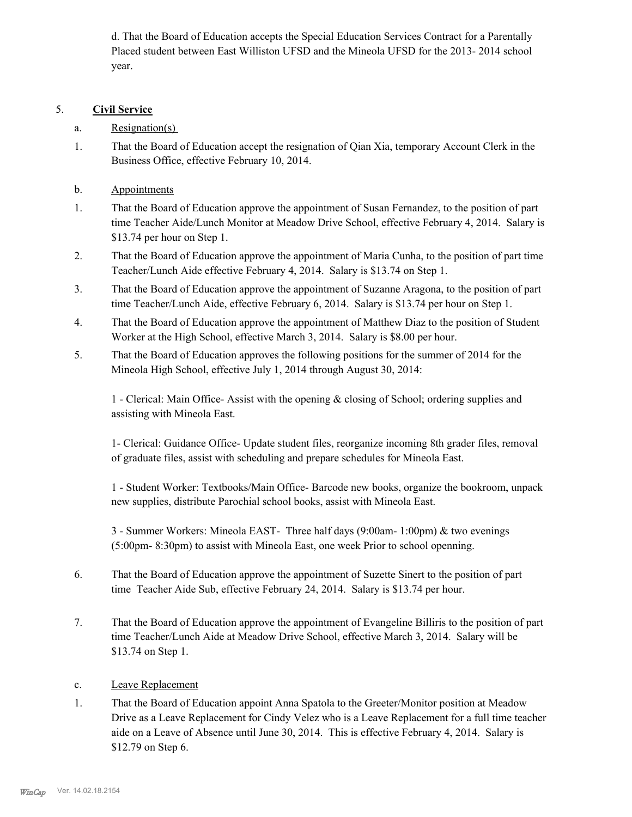d. That the Board of Education accepts the Special Education Services Contract for a Parentally Placed student between East Williston UFSD and the Mineola UFSD for the 2013- 2014 school year.

### 5. **Civil Service**

- a. Resignation(s)
- That the Board of Education accept the resignation of Qian Xia, temporary Account Clerk in the Business Office, effective February 10, 2014. 1.
- b. Appointments
- That the Board of Education approve the appointment of Susan Fernandez, to the position of part time Teacher Aide/Lunch Monitor at Meadow Drive School, effective February 4, 2014. Salary is \$13.74 per hour on Step 1. 1.
- That the Board of Education approve the appointment of Maria Cunha, to the position of part time Teacher/Lunch Aide effective February 4, 2014. Salary is \$13.74 on Step 1. 2.
- That the Board of Education approve the appointment of Suzanne Aragona, to the position of part time Teacher/Lunch Aide, effective February 6, 2014. Salary is \$13.74 per hour on Step 1. 3.
- That the Board of Education approve the appointment of Matthew Diaz to the position of Student Worker at the High School, effective March 3, 2014. Salary is \$8.00 per hour. 4.
- That the Board of Education approves the following positions for the summer of 2014 for the Mineola High School, effective July 1, 2014 through August 30, 2014: 5.

1 - Clerical: Main Office- Assist with the opening & closing of School; ordering supplies and assisting with Mineola East.

1- Clerical: Guidance Office- Update student files, reorganize incoming 8th grader files, removal of graduate files, assist with scheduling and prepare schedules for Mineola East.

1 - Student Worker: Textbooks/Main Office- Barcode new books, organize the bookroom, unpack new supplies, distribute Parochial school books, assist with Mineola East.

3 - Summer Workers: Mineola EAST- Three half days (9:00am- 1:00pm) & two evenings (5:00pm- 8:30pm) to assist with Mineola East, one week Prior to school openning.

- That the Board of Education approve the appointment of Suzette Sinert to the position of part time Teacher Aide Sub, effective February 24, 2014. Salary is \$13.74 per hour. 6.
- That the Board of Education approve the appointment of Evangeline Billiris to the position of part time Teacher/Lunch Aide at Meadow Drive School, effective March 3, 2014. Salary will be \$13.74 on Step 1. 7.
- c. Leave Replacement
- That the Board of Education appoint Anna Spatola to the Greeter/Monitor position at Meadow Drive as a Leave Replacement for Cindy Velez who is a Leave Replacement for a full time teacher aide on a Leave of Absence until June 30, 2014. This is effective February 4, 2014. Salary is \$12.79 on Step 6. 1.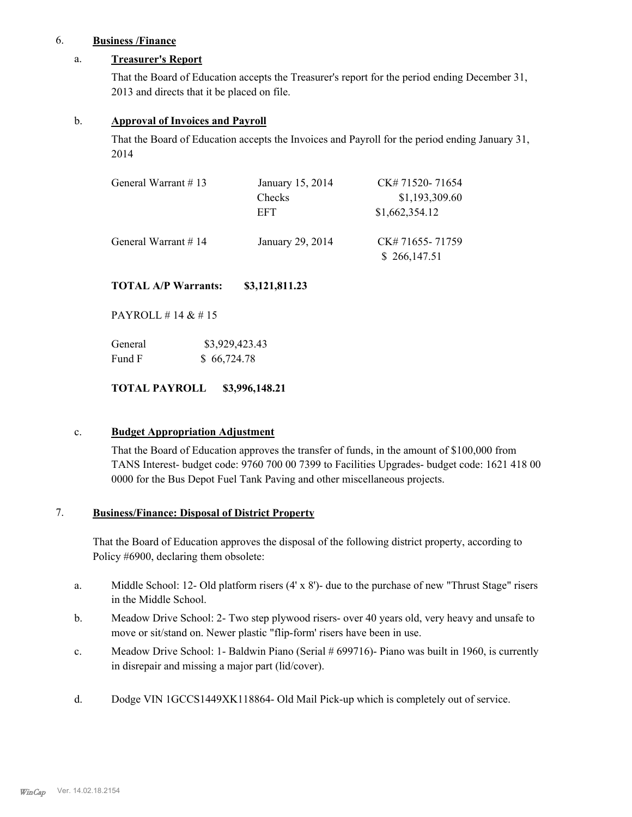## 6. **Business /Finance**

### a. **Treasurer's Report**

That the Board of Education accepts the Treasurer's report for the period ending December 31, 2013 and directs that it be placed on file.

#### b. **Approval of Invoices and Payroll**

That the Board of Education accepts the Invoices and Payroll for the period ending January 31, 2014

| General Warrant #13     | January 15, 2014 | CK# 71520-71654<br>\$1,193,309.60 |
|-------------------------|------------------|-----------------------------------|
|                         | Checks<br>EFT    | \$1,662,354.12                    |
| General Warrant $\#$ 14 | January 29, 2014 | CK# 71655-71759<br>\$266,147.51   |

**TOTAL A/P Warrants: \$3,121,811.23**

PAYROLL # 14 & # 15

| General | \$3,929,423.43 |
|---------|----------------|
| Fund F  | \$66,724.78    |

**TOTAL PAYROLL \$3,996,148.21**

### c. **Budget Appropriation Adjustment**

That the Board of Education approves the transfer of funds, in the amount of \$100,000 from TANS Interest- budget code: 9760 700 00 7399 to Facilities Upgrades- budget code: 1621 418 00 0000 for the Bus Depot Fuel Tank Paving and other miscellaneous projects.

#### **Business/Finance: Disposal of District Property** 7.

That the Board of Education approves the disposal of the following district property, according to Policy #6900, declaring them obsolete:

- Middle School: 12- Old platform risers  $(4' \times 8')$  due to the purchase of new "Thrust Stage" risers in the Middle School. a.
- Meadow Drive School: 2- Two step plywood risers- over 40 years old, very heavy and unsafe to move or sit/stand on. Newer plastic "flip-form' risers have been in use. b.
- Meadow Drive School: 1- Baldwin Piano (Serial # 699716)- Piano was built in 1960, is currently in disrepair and missing a major part (lid/cover). c.
- d. Dodge VIN 1GCCS1449XK118864- Old Mail Pick-up which is completely out of service.